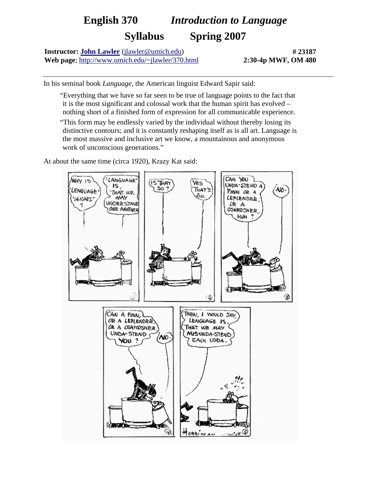## **English 370** *Introduction to Language* **Syllabus Spring 2007**

**Instructor: [John Lawler](http://www.umich.edu/~jlawler/)** ([jlawler@umich.edu\)](mailto:jlawler@umich.edu) **Web page**; <http://www.umich.edu/~jlawler/370.html>

**# 23187 2:30-4p MWF, OM 480**

In his seminal book *Language*, the American linguist Edward Sapir said:

- "Everything that we have so far seen to be true of language points to the fact that it is the most significant and colossal work that the human spirit has evolved – nothing short of a finished form of expression for all communicable experience.
- "This form may be endlessly varied by the individual without thereby losing its distinctive contours; and it is constantly reshaping itself as is all art. Language is the most massive and inclusive art we know, a mountainous and anonymous work of unconscious generations."

At about the same time (circa 1920), Krazy Kat said: